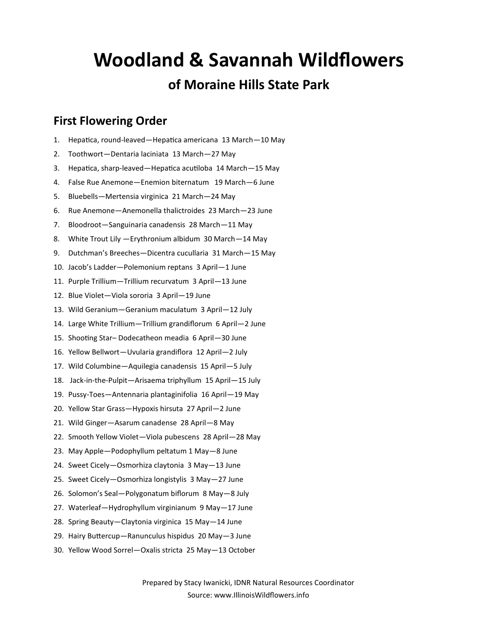# **Woodland & Savannah Wildflowers**

### **of Moraine Hills State Park**

#### **First Flowering Order**

- 1. Hepatica, round-leaved—Hepatica americana 13 March—10 May
- 2. Toothwort—Dentaria laciniata 13 March—27 May
- 3. Hepatica, sharp-leaved—Hepatica acutiloba 14 March—15 May
- 4. False Rue Anemone—Enemion biternatum 19 March—6 June
- 5. Bluebells—Mertensia virginica 21 March—24 May
- 6. Rue Anemone—Anemonella thalictroides 23 March—23 June
- 7. Bloodroot—Sanguinaria canadensis 28 March—11 May
- 8. White Trout Lily —Erythronium albidum 30 March—14 May
- 9. Dutchman's Breeches—Dicentra cucullaria 31 March—15 May
- 10. Jacob's Ladder—Polemonium reptans 3 April—1 June
- 11. Purple Trillium—Trillium recurvatum 3 April—13 June
- 12. Blue Violet—Viola sororia 3 April—19 June
- 13. Wild Geranium—Geranium maculatum 3 April—12 July
- 14. Large White Trillium—Trillium grandiflorum 6 April—2 June
- 15. Shooting Star– Dodecatheon meadia 6 April—30 June
- 16. Yellow Bellwort—Uvularia grandiflora 12 April—2 July
- 17. Wild Columbine—Aquilegia canadensis 15 April—5 July
- 18. Jack-in-the-Pulpit—Arisaema triphyllum 15 April—15 July
- 19. Pussy-Toes—Antennaria plantaginifolia 16 April—19 May
- 20. Yellow Star Grass—Hypoxis hirsuta 27 April—2 June
- 21. Wild Ginger—Asarum canadense 28 April—8 May
- 22. Smooth Yellow Violet—Viola pubescens 28 April—28 May
- 23. May Apple—Podophyllum peltatum 1 May—8 June
- 24. Sweet Cicely—Osmorhiza claytonia 3 May—13 June
- 25. Sweet Cicely—Osmorhiza longistylis 3 May—27 June
- 26. Solomon's Seal—Polygonatum biflorum 8 May—8 July
- 27. Waterleaf—Hydrophyllum virginianum 9 May—17 June
- 28. Spring Beauty—Claytonia virginica 15 May—14 June
- 29. Hairy Buttercup—Ranunculus hispidus 20 May—3 June
- 30. Yellow Wood Sorrel—Oxalis stricta 25 May—13 October

Prepared by Stacy Iwanicki, IDNR Natural Resources Coordinator Source: www.IllinoisWildflowers.info